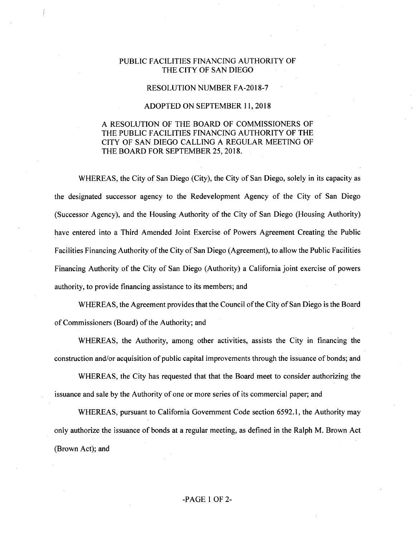## PUBLIC FACILITIES FINANCING AUTHORITY OF THE CITY OF SAN DIEGO

## RESOLUTION NUMBER FA-2018-7

## ADOPTED ON SEPTEMBER 11, 2018

## A RESOLUTION OF THE BOARD OF COMMISSIONERS OF THE PUBLIC FACILITIES FINANCING AUTHORITY OF THE CITY OF SAN DIEGO CALLING A REGULAR MEETING OF THE BOARD FOR SEPTEMBER 25, 2018.

WHEREAS, the City of San Diego (City), the City of San Diego, solely in its capacity as the designated successor agency to the Redevelopment Agency of the City of San Diego (Successor Agency), and the Housing Authority of the City of San Diego (Housing Authority) have entered into a Third Amended Joint Exercise of Powers Agreement Creating the Public Facilities Financing Authority of the City of San Diego (Agreement), to allow the Public Facilities Financing Authority of the City of San Diego (Authority) a California joint exercise of powers authority, to provide financing assistance to its members; and

WHEREAS, the Agreement provides that the Council of the City of San Diego is the Board of Commissioners (Board) of the Authority; and

WHEREAS, the Authority, among other activities, assists the City in financing the construction and/or acquisition of public capital improvements through the issuance of bonds; and

WHEREAS, the City has requested that that the Board meet to consider authorizing the issuance and sale by the Authority of one or more series of its commercial paper; and

WHEREAS, pursuant to California Government Code section 6592.1, the Authority may only authorize the issuance of bonds at a regular meeting, as defined in the Ralph M. Brown Act (Brown Act); and